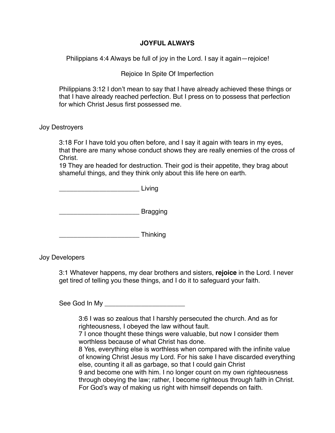## **JOYFUL ALWAYS**

Philippians 4:4 Always be full of joy in the Lord. I say it again—rejoice!

Rejoice In Spite Of Imperfection

Philippians 3:12 I don't mean to say that I have already achieved these things or that I have already reached perfection. But I press on to possess that perfection for which Christ Jesus first possessed me.

## Joy Destroyers

3:18 For I have told you often before, and I say it again with tears in my eyes, that there are many whose conduct shows they are really enemies of the cross of Christ.

19 They are headed for destruction. Their god is their appetite, they brag about shameful things, and they think only about this life here on earth.

\_\_\_\_\_\_\_\_\_\_\_\_\_\_\_\_\_\_\_\_\_\_ Living

and the state of the Bragging

\_\_\_\_\_\_\_\_\_\_\_\_\_\_\_\_\_\_\_\_\_\_ Thinking

Joy Developers

3:1 Whatever happens, my dear brothers and sisters, **rejoice** in the Lord. I never get tired of telling you these things, and I do it to safeguard your faith.

See God In My

3:6 I was so zealous that I harshly persecuted the church. And as for righteousness, I obeyed the law without fault.

7 I once thought these things were valuable, but now I consider them worthless because of what Christ has done.

8 Yes, everything else is worthless when compared with the infinite value of knowing Christ Jesus my Lord. For his sake I have discarded everything else, counting it all as garbage, so that I could gain Christ 9 and become one with him. I no longer count on my own righteousness through obeying the law; rather, I become righteous through faith in Christ. For God's way of making us right with himself depends on faith.